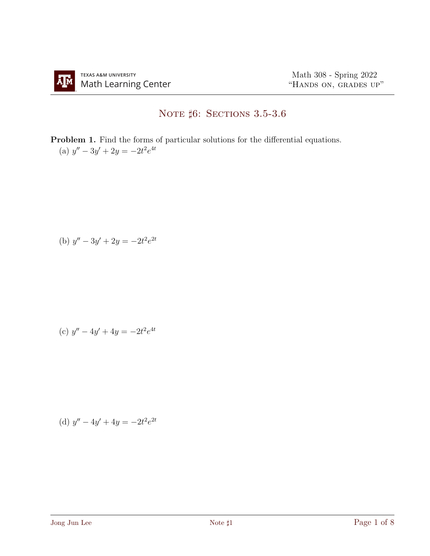## NOTE  $\sharp 6:$  Sections 3.5-3.6

Problem 1. Find the forms of particular solutions for the differential equations. (a)  $y'' - 3y' + 2y = -2t^2 e^{4t}$ 

(b) 
$$
y'' - 3y' + 2y = -2t^2 e^{2t}
$$

(c) 
$$
y'' - 4y' + 4y = -2t^2 e^{4t}
$$

(d) 
$$
y'' - 4y' + 4y = -2t^2e^{2t}
$$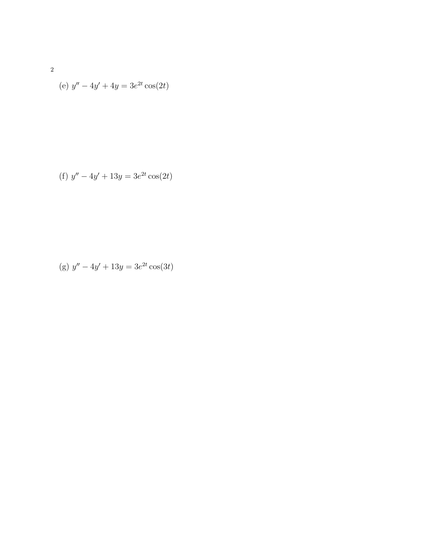(e) 
$$
y'' - 4y' + 4y = 3e^{2t} \cos(2t)
$$

(f) 
$$
y'' - 4y' + 13y = 3e^{2t} \cos(2t)
$$

(g) 
$$
y'' - 4y' + 13y = 3e^{2t} \cos(3t)
$$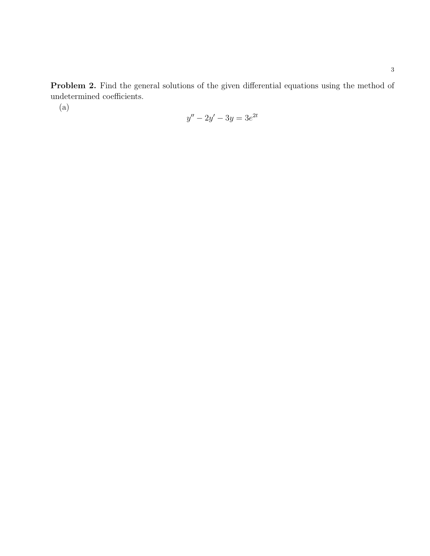Problem 2. Find the general solutions of the given differential equations using the method of  $underemined$   $coefficients.$ 

 $(a)$ 

$$
y'' - 2y' - 3y = 3e^{2t}
$$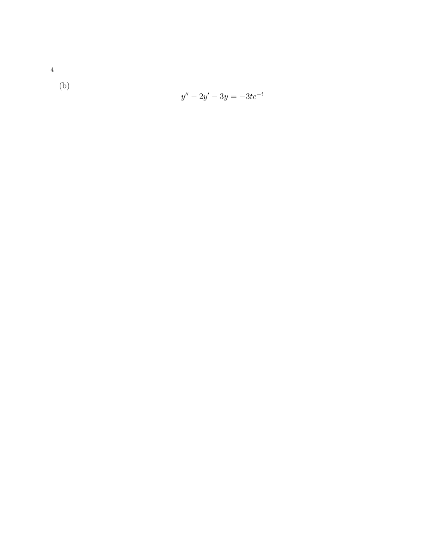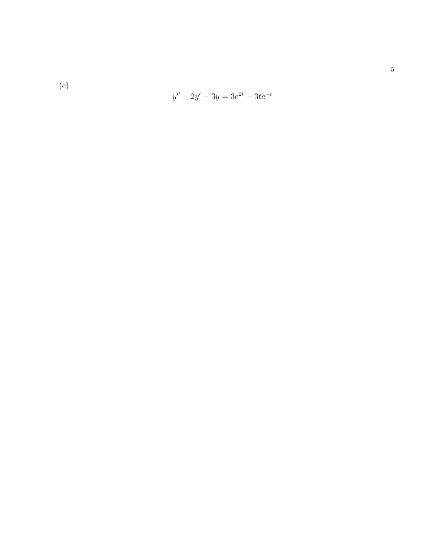$(c)$ 

$$
y'' - 2y' - 3y = 3e^{2t} - 3te^{-t}
$$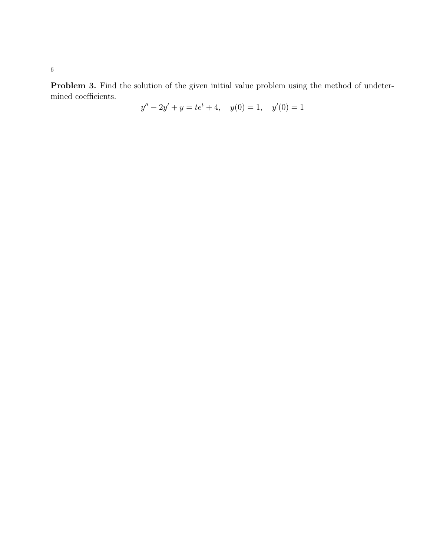Problem 3. Find the solution of the given initial value problem using the method of undetermined coefficients.

$$
y'' - 2y' + y = te^{t} + 4, \quad y(0) = 1, \quad y'(0) = 1
$$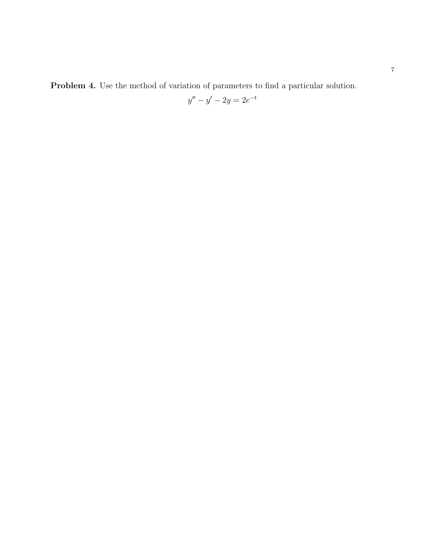Problem 4. Use the method of variation of parameters to find a particular solution.

$$
y'' - y' - 2y = 2e^{-t}
$$